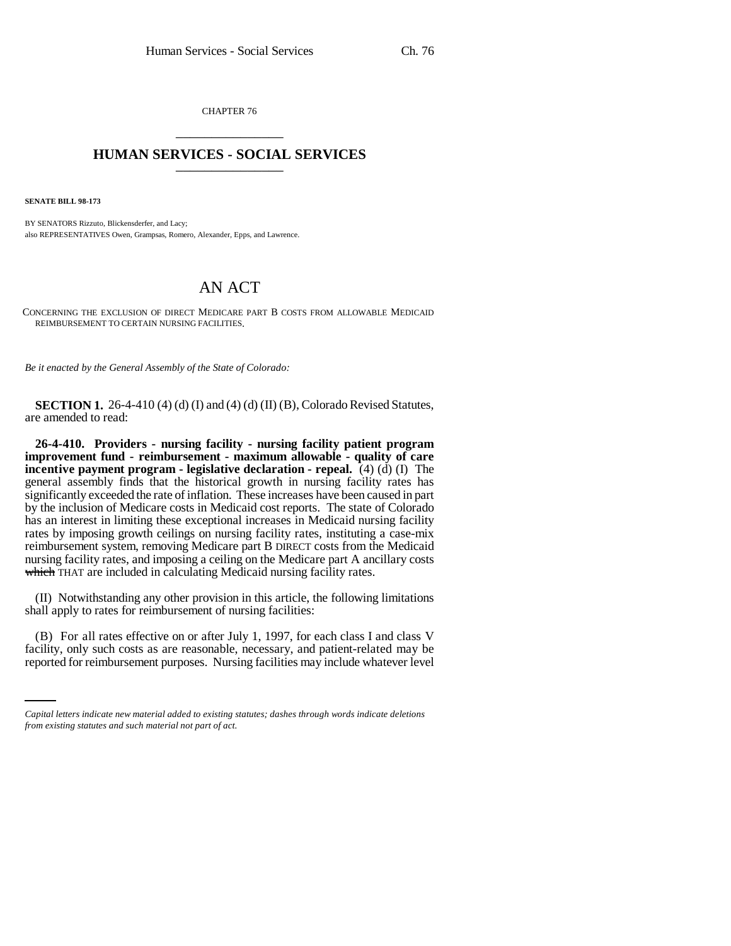CHAPTER 76 \_\_\_\_\_\_\_\_\_\_\_\_\_\_\_

## **HUMAN SERVICES - SOCIAL SERVICES** \_\_\_\_\_\_\_\_\_\_\_\_\_\_\_

**SENATE BILL 98-173**

BY SENATORS Rizzuto, Blickensderfer, and Lacy; also REPRESENTATIVES Owen, Grampsas, Romero, Alexander, Epps, and Lawrence.

## AN ACT

CONCERNING THE EXCLUSION OF DIRECT MEDICARE PART B COSTS FROM ALLOWABLE MEDICAID REIMBURSEMENT TO CERTAIN NURSING FACILITIES.

*Be it enacted by the General Assembly of the State of Colorado:*

**SECTION 1.** 26-4-410 (4) (d) (I) and (4) (d) (II) (B), Colorado Revised Statutes, are amended to read:

**26-4-410. Providers - nursing facility - nursing facility patient program improvement fund - reimbursement - maximum allowable - quality of care incentive payment program - legislative declaration - repeal.** (4) (d) (I) The general assembly finds that the historical growth in nursing facility rates has significantly exceeded the rate of inflation. These increases have been caused in part by the inclusion of Medicare costs in Medicaid cost reports. The state of Colorado has an interest in limiting these exceptional increases in Medicaid nursing facility rates by imposing growth ceilings on nursing facility rates, instituting a case-mix reimbursement system, removing Medicare part B DIRECT costs from the Medicaid nursing facility rates, and imposing a ceiling on the Medicare part A ancillary costs which THAT are included in calculating Medicaid nursing facility rates.

(II) Notwithstanding any other provision in this article, the following limitations shall apply to rates for reimbursement of nursing facilities:

(B) For all rates effective on or after July 1, 1997, for each class I and class V facility, only such costs as are reasonable, necessary, and patient-related may be reported for reimbursement purposes. Nursing facilities may include whatever level

*Capital letters indicate new material added to existing statutes; dashes through words indicate deletions from existing statutes and such material not part of act.*